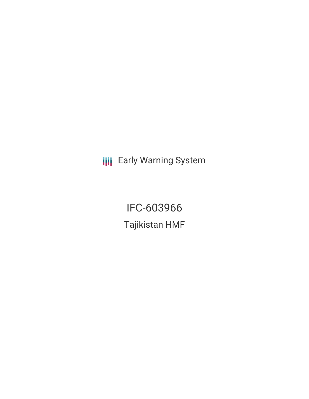**III** Early Warning System

IFC-603966 Tajikistan HMF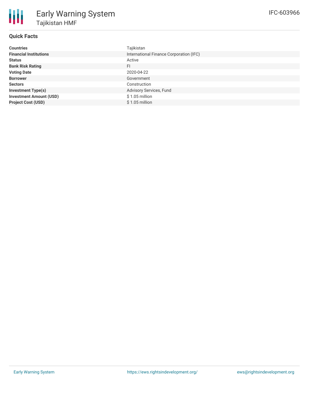# **Quick Facts**

| <b>Countries</b>               | Tajikistan                              |
|--------------------------------|-----------------------------------------|
| <b>Financial Institutions</b>  | International Finance Corporation (IFC) |
| <b>Status</b>                  | Active                                  |
| <b>Bank Risk Rating</b>        | FI.                                     |
| <b>Voting Date</b>             | 2020-04-22                              |
| <b>Borrower</b>                | Government                              |
| <b>Sectors</b>                 | Construction                            |
| <b>Investment Type(s)</b>      | Advisory Services, Fund                 |
| <b>Investment Amount (USD)</b> | $$1.05$ million                         |
| <b>Project Cost (USD)</b>      | $$1.05$ million                         |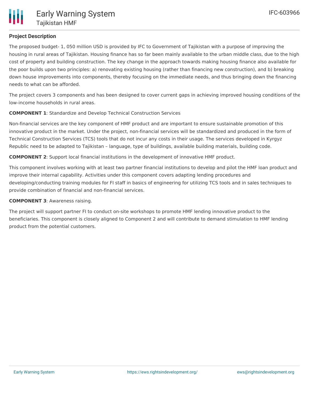## **Project Description**

The proposed budget- 1, 050 million USD is provided by IFC to Government of Tajikistan with a purpose of improving the housing in rural areas of Tajikistan. Housing finance has so far been mainly available to the urban middle class, due to the high cost of property and building construction. The key change in the approach towards making housing finance also available for the poor builds upon two principles: a) renovating existing housing (rather than financing new construction), and b) breaking down house improvements into components, thereby focusing on the immediate needs, and thus bringing down the financing needs to what can be afforded.

The project covers 3 components and has been designed to cover current gaps in achieving improved housing conditions of the low-income households in rural areas.

#### **COMPONENT 1**: Standardize and Develop Technical Construction Services

Non-financial services are the key component of HMF product and are important to ensure sustainable promotion of this innovative product in the market. Under the project, non-financial services will be standardized and produced in the form of Technical Construction Services (TCS) tools that do not incur any costs in their usage. The services developed in Kyrgyz Republic need to be adapted to Tajikistan – language, type of buildings, available building materials, building code.

**COMPONENT 2**: Support local financial institutions in the development of innovative HMF product.

This component involves working with at least two partner financial institutions to develop and pilot the HMF loan product and improve their internal capability. Activities under this component covers adapting lending procedures and developing/conducting training modules for FI staff in basics of engineering for utilizing TCS tools and in sales techniques to provide combination of financial and non-financial services.

#### **COMPONENT 3**: Awareness raising.

The project will support partner FI to conduct on-site workshops to promote HMF lending innovative product to the beneficiaries. This component is closely aligned to Component 2 and will contribute to demand stimulation to HMF lending product from the potential customers.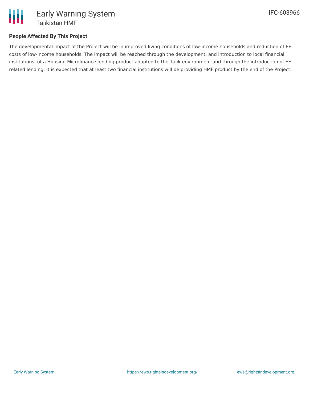

## **People Affected By This Project**

The developmental impact of the Project will be in improved living conditions of low-income households and reduction of EE costs of low-income households. The impact will be reached through the development, and introduction to local financial institutions, of a Housing Microfinance lending product adapted to the Tajik environment and through the introduction of EE related lending. It is expected that at least two financial institutions will be providing HMF product by the end of the Project.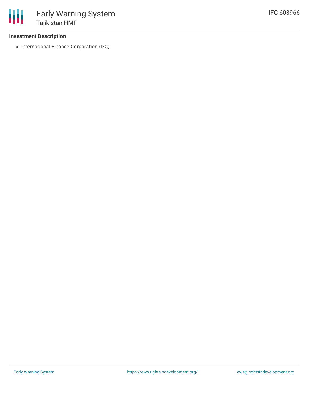

### **Investment Description**

• International Finance Corporation (IFC)